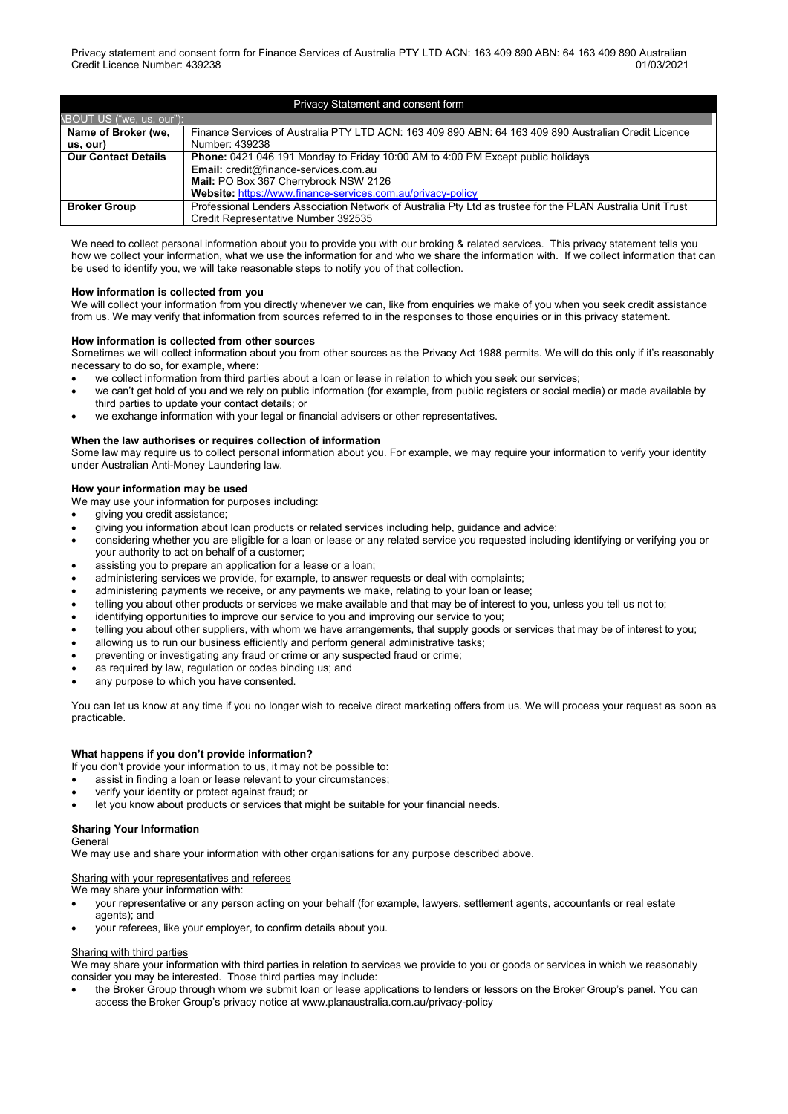| Privacy Statement and consent form |                                                                                                            |  |
|------------------------------------|------------------------------------------------------------------------------------------------------------|--|
| ABOUT US ("we, us, our"):          |                                                                                                            |  |
| Name of Broker (we,                | Finance Services of Australia PTY LTD ACN: 163 409 890 ABN: 64 163 409 890 Australian Credit Licence       |  |
| us, our)                           | Number: 439238                                                                                             |  |
| <b>Our Contact Details</b>         | <b>Phone:</b> 0421 046 191 Monday to Friday 10:00 AM to 4:00 PM Except public holidays                     |  |
|                                    | Email: credit@finance-services.com.au                                                                      |  |
|                                    | Mail: PO Box 367 Cherrybrook NSW 2126                                                                      |  |
|                                    | Website: https://www.finance-services.com.au/privacy-policy                                                |  |
| <b>Broker Group</b>                | Professional Lenders Association Network of Australia Pty Ltd as trustee for the PLAN Australia Unit Trust |  |
|                                    | Credit Representative Number 392535                                                                        |  |

We need to collect personal information about you to provide you with our broking & related services. This privacy statement tells you how we collect your information, what we use the information for and who we share the information with. If we collect information that can be used to identify you, we will take reasonable steps to notify you of that collection.

### **How information is collected from you**

We will collect your information from you directly whenever we can, like from enquiries we make of you when you seek credit assistance from us. We may verify that information from sources referred to in the responses to those enquiries or in this privacy statement.

#### **How information is collected from other sources**

Sometimes we will collect information about you from other sources as the Privacy Act 1988 permits. We will do this only if it's reasonably necessary to do so, for example, where:

- we collect information from third parties about a loan or lease in relation to which you seek our services;
- we can't get hold of you and we rely on public information (for example, from public registers or social media) or made available by third parties to update your contact details; or
- we exchange information with your legal or financial advisers or other representatives.

#### **When the law authorises or requires collection of information**

Some law may require us to collect personal information about you. For example, we may require your information to verify your identity under Australian Anti-Money Laundering law.

#### **How your information may be used**

We may use your information for purposes including:

- giving you credit assistance;
- giving you information about loan products or related services including help, guidance and advice;
- considering whether you are eligible for a loan or lease or any related service you requested including identifying or verifying you or your authority to act on behalf of a customer;
- assisting you to prepare an application for a lease or a loan;
- administering services we provide, for example, to answer requests or deal with complaints;
- administering payments we receive, or any payments we make, relating to your loan or lease;
- telling you about other products or services we make available and that may be of interest to you, unless you tell us not to;
- identifying opportunities to improve our service to you and improving our service to you;
- telling you about other suppliers, with whom we have arrangements, that supply goods or services that may be of interest to you;
- allowing us to run our business efficiently and perform general administrative tasks;
- preventing or investigating any fraud or crime or any suspected fraud or crime;
- as required by law, regulation or codes binding us; and
- any purpose to which you have consented.

You can let us know at any time if you no longer wish to receive direct marketing offers from us. We will process your request as soon as practicable.

#### **What happens if you don't provide information?**

If you don't provide your information to us, it may not be possible to:

- assist in finding a loan or lease relevant to your circumstances;
- verify your identity or protect against fraud; or
- let you know about products or services that might be suitable for your financial needs.

## **Sharing Your Information**

#### General

We may use and share your information with other organisations for any purpose described above.

#### Sharing with your representatives and referees

We may share your information with:

- your representative or any person acting on your behalf (for example, lawyers, settlement agents, accountants or real estate agents); and
- your referees, like your employer, to confirm details about you.

#### Sharing with third parties

We may share your information with third parties in relation to services we provide to you or goods or services in which we reasonably consider you may be interested. Those third parties may include:

• the Broker Group through whom we submit loan or lease applications to lenders or lessors on the Broker Group's panel. You can access the Broker Group's privacy notice a[t www.planaustralia.com.au/privacy-](http://www.planaustralia.com.au/privacy)policy